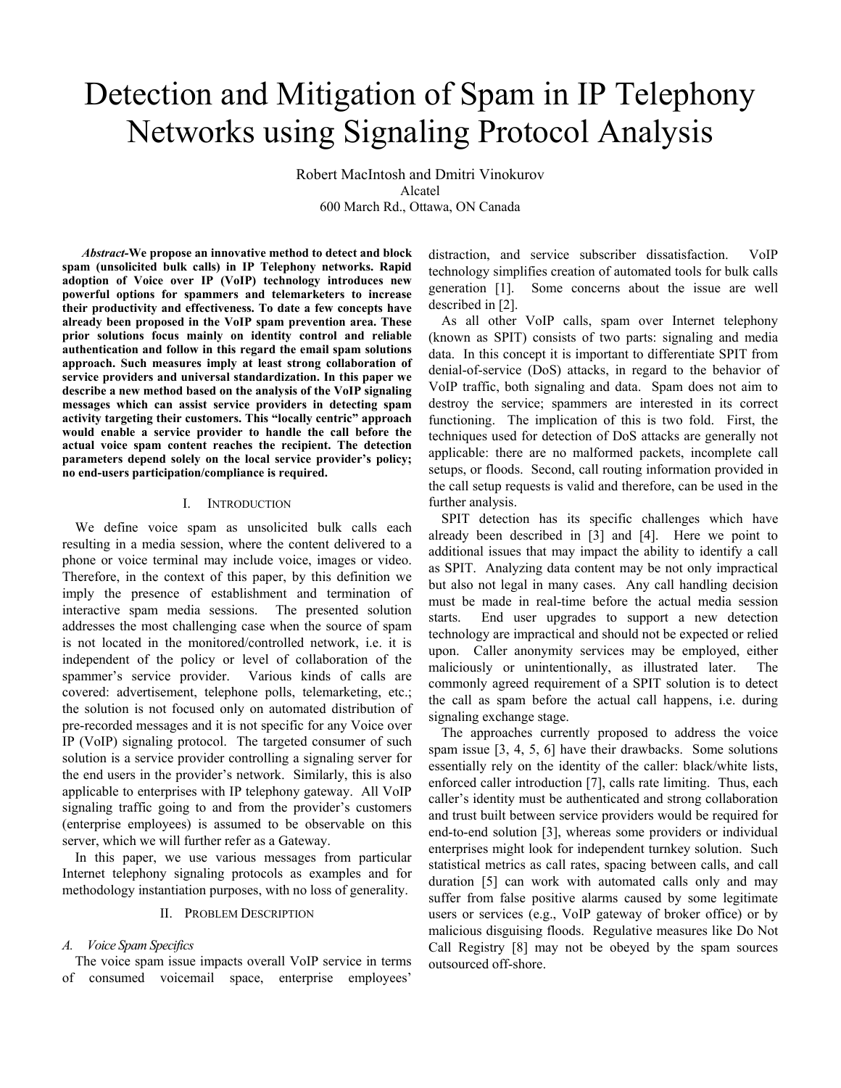# Detection and Mitigation of Spam in IP Telephony Networks using Signaling Protocol Analysis

Robert MacIntosh and Dmitri Vinokurov Alcatel 600 March Rd., Ottawa, ON Canada

*Abstract-***We propose an innovative method to detect and block spam (unsolicited bulk calls) in IP Telephony networks. Rapid adoption of Voice over IP (VoIP) technology introduces new powerful options for spammers and telemarketers to increase their productivity and effectiveness. To date a few concepts have already been proposed in the VoIP spam prevention area. These prior solutions focus mainly on identity control and reliable authentication and follow in this regard the email spam solutions approach. Such measures imply at least strong collaboration of service providers and universal standardization. In this paper we describe a new method based on the analysis of the VoIP signaling messages which can assist service providers in detecting spam activity targeting their customers. This "locally centric" approach would enable a service provider to handle the call before the actual voice spam content reaches the recipient. The detection parameters depend solely on the local service provider's policy; no end-users participation/compliance is required.** 

#### I. INTRODUCTION

We define voice spam as unsolicited bulk calls each resulting in a media session, where the content delivered to a phone or voice terminal may include voice, images or video. Therefore, in the context of this paper, by this definition we imply the presence of establishment and termination of interactive spam media sessions. The presented solution addresses the most challenging case when the source of spam is not located in the monitored/controlled network, i.e. it is independent of the policy or level of collaboration of the spammer's service provider. Various kinds of calls are covered: advertisement, telephone polls, telemarketing, etc.; the solution is not focused only on automated distribution of pre-recorded messages and it is not specific for any Voice over IP (VoIP) signaling protocol. The targeted consumer of such solution is a service provider controlling a signaling server for the end users in the provider's network. Similarly, this is also applicable to enterprises with IP telephony gateway. All VoIP signaling traffic going to and from the provider's customers (enterprise employees) is assumed to be observable on this server, which we will further refer as a Gateway.

In this paper, we use various messages from particular Internet telephony signaling protocols as examples and for methodology instantiation purposes, with no loss of generality.

## II. PROBLEM DESCRIPTION

#### *A. Voice Spam Specifics*

The voice spam issue impacts overall VoIP service in terms of consumed voicemail space, enterprise employees'

distraction, and service subscriber dissatisfaction. VoIP technology simplifies creation of automated tools for bulk calls generation [1]. Some concerns about the issue are well described in [2].

As all other VoIP calls, spam over Internet telephony (known as SPIT) consists of two parts: signaling and media data. In this concept it is important to differentiate SPIT from denial-of-service (DoS) attacks, in regard to the behavior of VoIP traffic, both signaling and data. Spam does not aim to destroy the service; spammers are interested in its correct functioning. The implication of this is two fold. First, the techniques used for detection of DoS attacks are generally not applicable: there are no malformed packets, incomplete call setups, or floods. Second, call routing information provided in the call setup requests is valid and therefore, can be used in the further analysis.

SPIT detection has its specific challenges which have already been described in [3] and [4]. Here we point to additional issues that may impact the ability to identify a call as SPIT. Analyzing data content may be not only impractical but also not legal in many cases. Any call handling decision must be made in real-time before the actual media session starts. End user upgrades to support a new detection technology are impractical and should not be expected or relied upon. Caller anonymity services may be employed, either maliciously or unintentionally, as illustrated later. The commonly agreed requirement of a SPIT solution is to detect the call as spam before the actual call happens, i.e. during signaling exchange stage.

The approaches currently proposed to address the voice spam issue [3, 4, 5, 6] have their drawbacks. Some solutions essentially rely on the identity of the caller: black/white lists, enforced caller introduction [7], calls rate limiting. Thus, each caller's identity must be authenticated and strong collaboration and trust built between service providers would be required for end-to-end solution [3], whereas some providers or individual enterprises might look for independent turnkey solution. Such statistical metrics as call rates, spacing between calls, and call duration [5] can work with automated calls only and may suffer from false positive alarms caused by some legitimate users or services (e.g., VoIP gateway of broker office) or by malicious disguising floods. Regulative measures like Do Not Call Registry [8] may not be obeyed by the spam sources outsourced off-shore.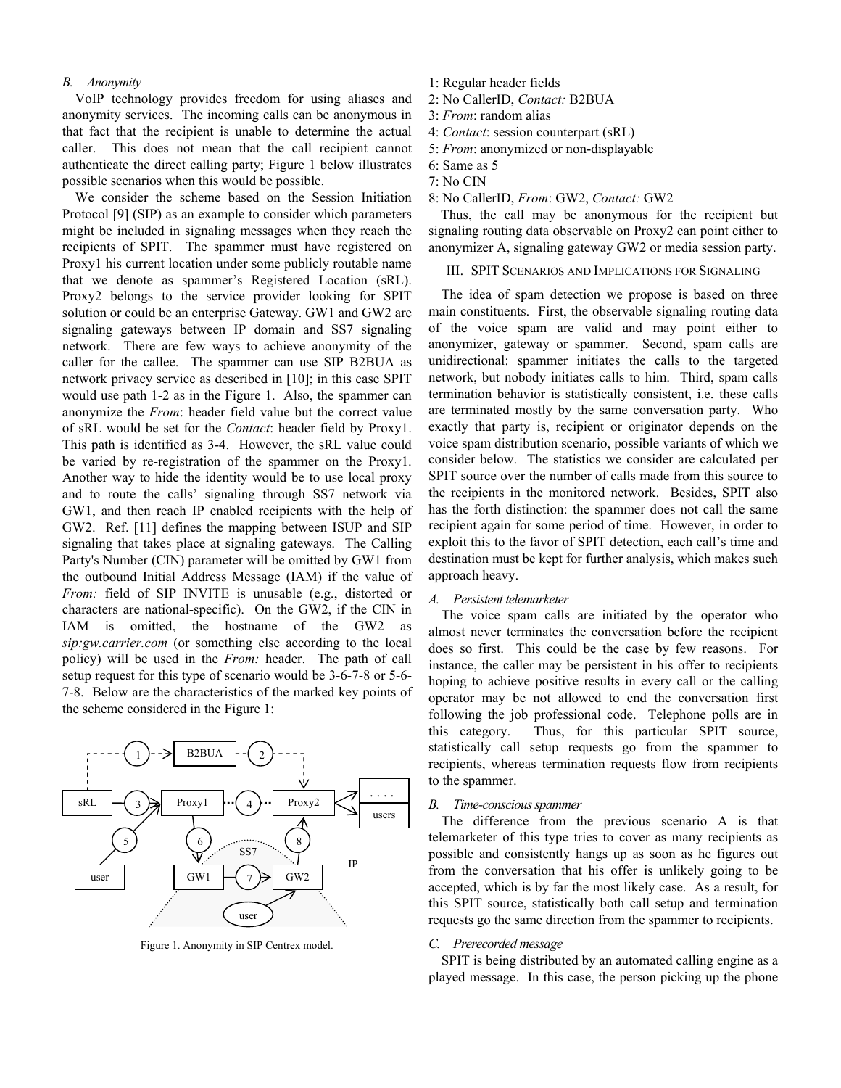# *B. Anonymity*

VoIP technology provides freedom for using aliases and anonymity services. The incoming calls can be anonymous in that fact that the recipient is unable to determine the actual caller. This does not mean that the call recipient cannot authenticate the direct calling party; Figure 1 below illustrates possible scenarios when this would be possible.

We consider the scheme based on the Session Initiation Protocol [9] (SIP) as an example to consider which parameters might be included in signaling messages when they reach the recipients of SPIT. The spammer must have registered on Proxy1 his current location under some publicly routable name that we denote as spammer's Registered Location (sRL). Proxy2 belongs to the service provider looking for SPIT solution or could be an enterprise Gateway. GW1 and GW2 are signaling gateways between IP domain and SS7 signaling network. There are few ways to achieve anonymity of the caller for the callee. The spammer can use SIP B2BUA as network privacy service as described in [10]; in this case SPIT would use path 1-2 as in the Figure 1. Also, the spammer can anonymize the *From*: header field value but the correct value of sRL would be set for the *Contact*: header field by Proxy1. This path is identified as 3-4. However, the sRL value could be varied by re-registration of the spammer on the Proxy1. Another way to hide the identity would be to use local proxy and to route the calls' signaling through SS7 network via GW1, and then reach IP enabled recipients with the help of GW2. Ref. [11] defines the mapping between ISUP and SIP signaling that takes place at signaling gateways. The Calling Party's Number (CIN) parameter will be omitted by GW1 from the outbound Initial Address Message (IAM) if the value of *From:* field of SIP INVITE is unusable (e.g., distorted or characters are national-specific). On the GW2, if the CIN in IAM is omitted, the hostname of the GW2 as *sip:gw.carrier.com* (or something else according to the local policy) will be used in the *From:* header. The path of call setup request for this type of scenario would be 3-6-7-8 or 5-6- 7-8. Below are the characteristics of the marked key points of the scheme considered in the Figure 1:



Figure 1. Anonymity in SIP Centrex model.

- 1: Regular header fields
- 2: No CallerID, *Contact:* B2BUA
- 3: *From*: random alias
- 4: *Contact*: session counterpart (sRL)
- 5: *From*: anonymized or non-displayable
- 6: Same as 5
- 7: No CIN
- 8: No CallerID, *From*: GW2, *Contact:* GW2

Thus, the call may be anonymous for the recipient but signaling routing data observable on Proxy2 can point either to anonymizer A, signaling gateway GW2 or media session party.

III. SPIT SCENARIOS AND IMPLICATIONS FOR SIGNALING

The idea of spam detection we propose is based on three main constituents. First, the observable signaling routing data of the voice spam are valid and may point either to anonymizer, gateway or spammer. Second, spam calls are unidirectional: spammer initiates the calls to the targeted network, but nobody initiates calls to him. Third, spam calls termination behavior is statistically consistent, i.e. these calls are terminated mostly by the same conversation party. Who exactly that party is, recipient or originator depends on the voice spam distribution scenario, possible variants of which we consider below. The statistics we consider are calculated per SPIT source over the number of calls made from this source to the recipients in the monitored network. Besides, SPIT also has the forth distinction: the spammer does not call the same recipient again for some period of time. However, in order to exploit this to the favor of SPIT detection, each call's time and destination must be kept for further analysis, which makes such approach heavy.

# *A. Persistent telemarketer*

The voice spam calls are initiated by the operator who almost never terminates the conversation before the recipient does so first. This could be the case by few reasons. For instance, the caller may be persistent in his offer to recipients hoping to achieve positive results in every call or the calling operator may be not allowed to end the conversation first following the job professional code. Telephone polls are in this category. Thus, for this particular SPIT source, statistically call setup requests go from the spammer to recipients, whereas termination requests flow from recipients to the spammer.

#### *B. Time-conscious spammer*

The difference from the previous scenario A is that telemarketer of this type tries to cover as many recipients as possible and consistently hangs up as soon as he figures out from the conversation that his offer is unlikely going to be accepted, which is by far the most likely case. As a result, for this SPIT source, statistically both call setup and termination requests go the same direction from the spammer to recipients.

# *C. Prerecorded message*

SPIT is being distributed by an automated calling engine as a played message. In this case, the person picking up the phone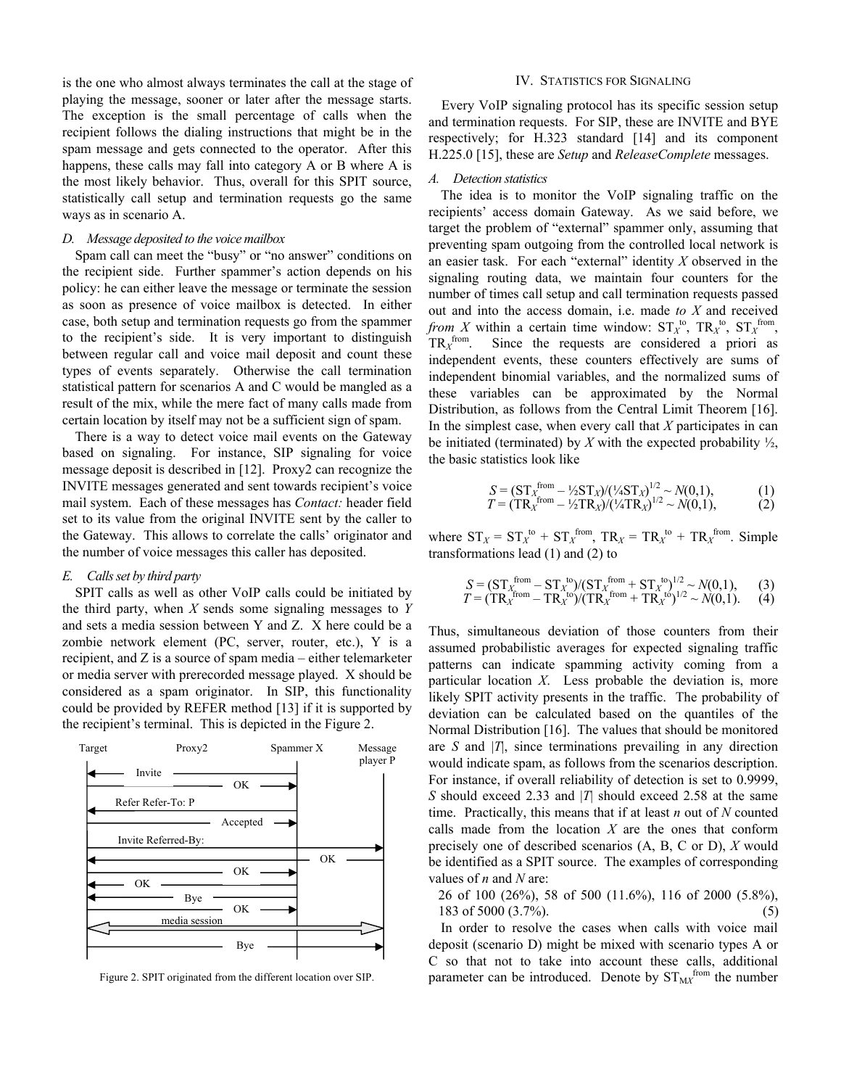is the one who almost always terminates the call at the stage of playing the message, sooner or later after the message starts. The exception is the small percentage of calls when the recipient follows the dialing instructions that might be in the spam message and gets connected to the operator. After this happens, these calls may fall into category A or B where A is the most likely behavior. Thus, overall for this SPIT source, statistically call setup and termination requests go the same ways as in scenario A.

### *D. Message deposited to the voice mailbox*

Spam call can meet the "busy" or "no answer" conditions on the recipient side. Further spammer's action depends on his policy: he can either leave the message or terminate the session as soon as presence of voice mailbox is detected. In either case, both setup and termination requests go from the spammer to the recipient's side. It is very important to distinguish between regular call and voice mail deposit and count these types of events separately. Otherwise the call termination statistical pattern for scenarios A and C would be mangled as a result of the mix, while the mere fact of many calls made from certain location by itself may not be a sufficient sign of spam.

There is a way to detect voice mail events on the Gateway based on signaling. For instance, SIP signaling for voice message deposit is described in [12]. Proxy2 can recognize the INVITE messages generated and sent towards recipient's voice mail system. Each of these messages has *Contact:* header field set to its value from the original INVITE sent by the caller to the Gateway. This allows to correlate the calls' originator and the number of voice messages this caller has deposited.

#### *E. Calls set by third party*

SPIT calls as well as other VoIP calls could be initiated by the third party, when *X* sends some signaling messages to *Y* and sets a media session between Y and Z. X here could be a zombie network element (PC, server, router, etc.), Y is a recipient, and Z is a source of spam media – either telemarketer or media server with prerecorded message played. X should be considered as a spam originator. In SIP, this functionality could be provided by REFER method [13] if it is supported by the recipient's terminal. This is depicted in the Figure 2.



Figure 2. SPIT originated from the different location over SIP.

## IV. STATISTICS FOR SIGNALING

Every VoIP signaling protocol has its specific session setup and termination requests. For SIP, these are INVITE and BYE respectively; for H.323 standard [14] and its component H.225.0 [15], these are *Setup* and *ReleaseComplete* messages.

### *A. Detection statistics*

The idea is to monitor the VoIP signaling traffic on the recipients' access domain Gateway. As we said before, we target the problem of "external" spammer only, assuming that preventing spam outgoing from the controlled local network is an easier task. For each "external" identity *X* observed in the signaling routing data, we maintain four counters for the number of times call setup and call termination requests passed out and into the access domain, i.e. made *to X* and received *from X* within a certain time window:  $ST_X^{to}$ ,  $TR_X^{to}$ ,  $ST_X^{from}$ ,  $TR<sub>X</sub>$ <sup>from</sup>. Since the requests are considered a priori as independent events, these counters effectively are sums of independent binomial variables, and the normalized sums of these variables can be approximated by the Normal Distribution, as follows from the Central Limit Theorem [16]. In the simplest case, when every call that *X* participates in can be initiated (terminated) by *X* with the expected probability  $\frac{1}{2}$ , the basic statistics look like

$$
S = (ST_X^{\text{ from}} - \frac{1}{2}ST_X) / (\frac{1}{4}ST_X)^{1/2} \sim N(0,1),
$$
  
\n
$$
T = (TR_X^{\text{ from}} - \frac{1}{2}TR_X) / (\frac{1}{4}TR_X)^{1/2} \sim N(0,1),
$$
 (1)

where  $ST_X = ST_X^{to} + ST_X^{from}$ ,  $TR_X = TR_X^{to} + TR_X^{from}$ . Simple transformations lead (1) and (2) to

$$
S = (ST_X^{from} - ST_X^{to})/(ST_X^{from} + ST_X^{to})^{1/2} \sim N(0,1),
$$
  
\n
$$
T = (TR_X^{from} - TR_X^{to})/(TR_X^{from} + TR_X^{to})^{1/2} \sim N(0,1).
$$
 (3)

Thus, simultaneous deviation of those counters from their assumed probabilistic averages for expected signaling traffic patterns can indicate spamming activity coming from a particular location *X*. Less probable the deviation is, more likely SPIT activity presents in the traffic. The probability of deviation can be calculated based on the quantiles of the Normal Distribution [16]. The values that should be monitored are *S* and |*T*|, since terminations prevailing in any direction would indicate spam, as follows from the scenarios description. For instance, if overall reliability of detection is set to 0.9999, *S* should exceed 2.33 and |*T*| should exceed 2.58 at the same time. Practically, this means that if at least *n* out of *N* counted calls made from the location *X* are the ones that conform precisely one of described scenarios (A, B, C or D), *X* would be identified as a SPIT source. The examples of corresponding values of *n* and *N* are:

26 of 100 (26%), 58 of 500 (11.6%), 116 of 2000 (5.8%), 183 of 5000 (3.7%). (5)

In order to resolve the cases when calls with voice mail deposit (scenario D) might be mixed with scenario types A or C so that not to take into account these calls, additional parameter can be introduced. Denote by  $ST_{\text{M}X}^{\text{from}}$  the number